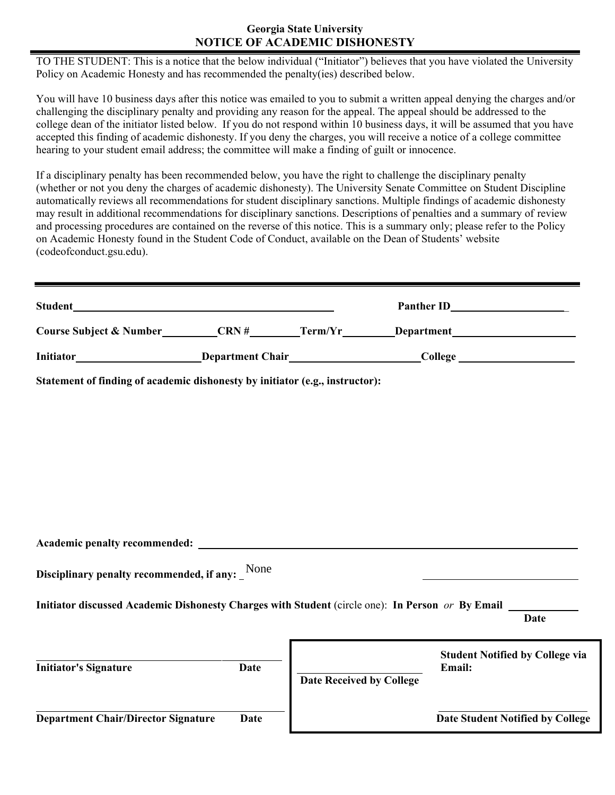## **Georgia State University NOTICE OF ACADEMIC DISHONESTY**

TO THE STUDENT: This is a notice that the below individual ("Initiator") believes that you have violated the University Policy on Academic Honesty and has recommended the penalty(ies) described below.

You will have 10 business days after this notice was emailed to you to submit a written appeal denying the charges and/or challenging the disciplinary penalty and providing any reason for the appeal. The appeal should be addressed to the college dean of the initiator listed below. If you do not respond within 10 business days, it will be assumed that you have accepted this finding of academic dishonesty. If you deny the charges, you will receive a notice of a college committee hearing to your student email address; the committee will make a finding of guilt or innocence.

If a disciplinary penalty has been recommended below, you have the right to challenge the disciplinary penalty (whether or not you deny the charges of academic dishonesty). The University Senate Committee on Student Discipline automatically reviews all recommendations for student disciplinary sanctions. Multiple findings of academic dishonesty may result in additional recommendations for disciplinary sanctions. Descriptions of penalties and a summary of review and processing procedures are contained on the reverse of this notice. This is a summary only; please refer to the Policy on Academic Honesty found in the Student Code of Conduct, available on the Dean of Students' website (codeofconduct.gsu.edu).

| <b>Student</b>                     |                         |         | <b>Panther ID</b> |
|------------------------------------|-------------------------|---------|-------------------|
| <b>Course Subject &amp; Number</b> | CRN#                    | Term/Yr | Department        |
| Initiator                          | <b>Department Chair</b> |         | College           |

**Statement of finding of academic dishonesty by initiator (e.g., instructor):** 

**Academic penalty recommended:** 

**Disciplinary penalty recommended, if any:**  None

**Initiator discussed Academic Dishonesty Charges with Student** (circle one): **In Person** *or* **By Email** 

**Date** 

| <b>Initiator's Signature</b>               | Date | <b>Date Received by College</b> | <b>Student Notified by College via</b><br><b>Email:</b> |
|--------------------------------------------|------|---------------------------------|---------------------------------------------------------|
| <b>Department Chair/Director Signature</b> | Date |                                 | Date Student Notified by College                        |